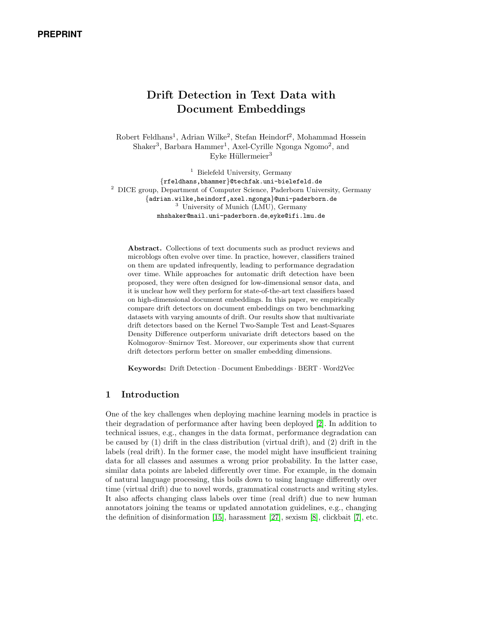# <span id="page-0-0"></span>Drift Detection in Text Data with Document Embeddings

Robert Feldhans<sup>1</sup>, Adrian Wilke<sup>2</sup>, Stefan Heindorf<sup>2</sup>, Mohammad Hossein Shaker<sup>3</sup>, Barbara Hammer<sup>1</sup>, Axel-Cyrille Ngonga Ngomo<sup>2</sup>, and  $E$ yke Hüllermeier<sup>3</sup>

<sup>1</sup> Bielefeld University, Germany {rfeldhans,bhammer}@techfak.uni-bielefeld.de <sup>2</sup> DICE group, Department of Computer Science, Paderborn University, Germany {adrian.wilke,heindorf,axel.ngonga}@uni-paderborn.de <sup>3</sup> University of Munich (LMU), Germany mhshaker@mail.uni-paderborn.de,eyke@ifi.lmu.de

Abstract. Collections of text documents such as product reviews and microblogs often evolve over time. In practice, however, classifiers trained on them are updated infrequently, leading to performance degradation over time. While approaches for automatic drift detection have been proposed, they were often designed for low-dimensional sensor data, and it is unclear how well they perform for state-of-the-art text classifiers based on high-dimensional document embeddings. In this paper, we empirically compare drift detectors on document embeddings on two benchmarking datasets with varying amounts of drift. Our results show that multivariate drift detectors based on the Kernel Two-Sample Test and Least-Squares Density Difference outperform univariate drift detectors based on the Kolmogorov–Smirnov Test. Moreover, our experiments show that current drift detectors perform better on smaller embedding dimensions.

Keywords: Drift Detection · Document Embeddings · BERT · Word2Vec

# 1 Introduction

One of the key challenges when deploying machine learning models in practice is their degradation of performance after having been deployed [\[2\]](#page-10-0). In addition to technical issues, e.g., changes in the data format, performance degradation can be caused by (1) drift in the class distribution (virtual drift), and (2) drift in the labels (real drift). In the former case, the model might have insufficient training data for all classes and assumes a wrong prior probability. In the latter case, similar data points are labeled differently over time. For example, in the domain of natural language processing, this boils down to using language differently over time (virtual drift) due to novel words, grammatical constructs and writing styles. It also affects changing class labels over time (real drift) due to new human annotators joining the teams or updated annotation guidelines, e.g., changing the definition of disinformation [\[15\]](#page-11-0), harassment [\[27\]](#page-11-1), sexism [\[8\]](#page-10-1), clickbait [\[7\]](#page-10-2), etc.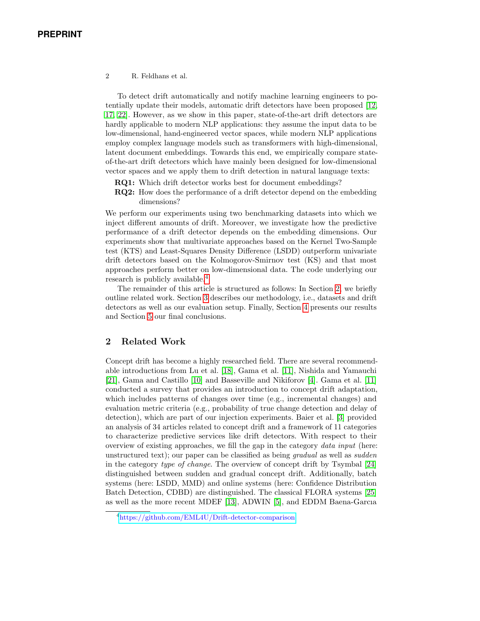#### 2 R. Feldhans et al.

To detect drift automatically and notify machine learning engineers to potentially update their models, automatic drift detectors have been proposed [\[12,](#page-10-3) [17,](#page-11-2) [22\]](#page-11-3). However, as we show in this paper, state-of-the-art drift detectors are hardly applicable to modern NLP applications: they assume the input data to be low-dimensional, hand-engineered vector spaces, while modern NLP applications employ complex language models such as transformers with high-dimensional, latent document embeddings. Towards this end, we empirically compare stateof-the-art drift detectors which have mainly been designed for low-dimensional vector spaces and we apply them to drift detection in natural language texts:

- RQ1: Which drift detector works best for document embeddings?
- RQ2: How does the performance of a drift detector depend on the embedding dimensions?

We perform our experiments using two benchmarking datasets into which we inject different amounts of drift. Moreover, we investigate how the predictive performance of a drift detector depends on the embedding dimensions. Our experiments show that multivariate approaches based on the Kernel Two-Sample test (KTS) and Least-Squares Density Difference (LSDD) outperform univariate drift detectors based on the Kolmogorov-Smirnov test (KS) and that most approaches perform better on low-dimensional data. The code underlying our research is publicly available.<sup>[4](#page-0-0)</sup>

The remainder of this article is structured as follows: In Section [2,](#page-1-0) we briefly outline related work. Section [3](#page-2-0) describes our methodology, i.e., datasets and drift detectors as well as our evaluation setup. Finally, Section [4](#page-6-0) presents our results and Section [5](#page-9-0) our final conclusions.

# <span id="page-1-0"></span>2 Related Work

Concept drift has become a highly researched field. There are several recommendable introductions from Lu et al. [\[18\]](#page-11-4), Gama et al. [\[11\]](#page-10-4), Nishida and Yamauchi [\[21\]](#page-11-5), Gama and Castillo [\[10\]](#page-10-5) and Basseville and Nikiforov [\[4\]](#page-10-6). Gama et al. [\[11\]](#page-10-4) conducted a survey that provides an introduction to concept drift adaptation, which includes patterns of changes over time (e.g., incremental changes) and evaluation metric criteria (e.g., probability of true change detection and delay of detection), which are part of our injection experiments. Baier et al. [\[3\]](#page-10-7) provided an analysis of 34 articles related to concept drift and a framework of 11 categories to characterize predictive services like drift detectors. With respect to their overview of existing approaches, we fill the gap in the category data input (here: unstructured text); our paper can be classified as being *gradual* as well as *sudden* in the category type of change. The overview of concept drift by Tsymbal [\[24\]](#page-11-6) distinguished between sudden and gradual concept drift. Additionally, batch systems (here: LSDD, MMD) and online systems (here: Confidence Distribution Batch Detection, CDBD) are distinguished. The classical FLORA systems [\[25\]](#page-11-7) as well as the more recent MDEF [\[13\]](#page-10-8), ADWIN [\[5\]](#page-10-9), and EDDM Baena-Garcıa

<sup>4</sup><https://github.com/EML4U/Drift-detector-comparison>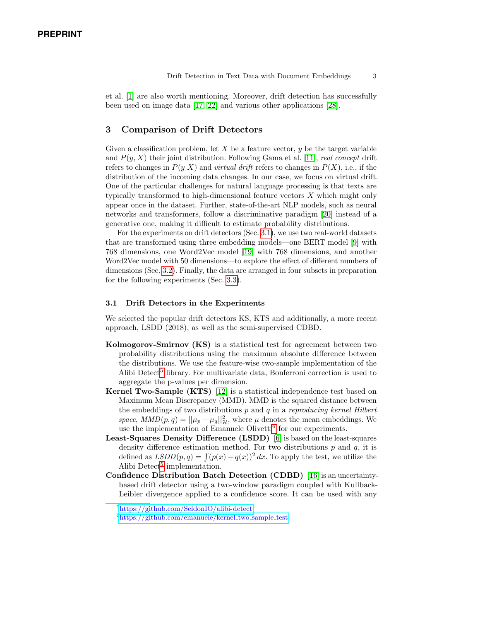et al. [\[1\]](#page-10-10) are also worth mentioning. Moreover, drift detection has successfully been used on image data [\[17,](#page-11-2) [22\]](#page-11-3) and various other applications [\[28\]](#page-11-8).

# <span id="page-2-0"></span>3 Comparison of Drift Detectors

Given a classification problem, let X be a feature vector,  $y$  be the target variable and  $P(y, X)$  their joint distribution. Following Gama et al. [\[11\]](#page-10-4), real concept drift refers to changes in  $P(y|X)$  and *virtual drift* refers to changes in  $P(X)$ , i.e., if the distribution of the incoming data changes. In our case, we focus on virtual drift. One of the particular challenges for natural language processing is that texts are typically transformed to high-dimensional feature vectors X which might only appear once in the dataset. Further, state-of-the-art NLP models, such as neural networks and transformers, follow a discriminative paradigm [\[20\]](#page-11-9) instead of a generative one, making it difficult to estimate probability distributions.

For the experiments on drift detectors (Sec. [3.1\)](#page-2-1), we use two real-world datasets that are transformed using three embedding models––one BERT model [\[9\]](#page-10-11) with 768 dimensions, one Word2Vec model [\[19\]](#page-11-10) with 768 dimensions, and another Word2Vec model with 50 dimensions––to explore the effect of different numbers of dimensions (Sec. [3.2\)](#page-3-0). Finally, the data are arranged in four subsets in preparation for the following experiments (Sec. [3.3\)](#page-4-0).

### <span id="page-2-1"></span>3.1 Drift Detectors in the Experiments

We selected the popular drift detectors KS, KTS and additionally, a more recent approach, LSDD (2018), as well as the semi-supervised CDBD.

- Kolmogorov-Smirnov (KS) is a statistical test for agreement between two probability distributions using the maximum absolute difference between the distributions. We use the feature-wise two-sample implementation of the Alibi Detect<sup>[5](#page-0-0)</sup> library. For multivariate data, Bonferroni correction is used to aggregate the p-values per dimension.
- Kernel Two-Sample (KTS) [\[12\]](#page-10-3) is a statistical independence test based on Maximum Mean Discrepancy (MMD). MMD is the squared distance between the embeddings of two distributions  $p$  and  $q$  in a reproducing kernel Hilbert space,  $MMD(p, q) = ||\mu_p - \mu_q||^2_{\mathcal{H}}$ , where  $\mu$  denotes the mean embeddings. We use the implementation of Emanuele Olivetti<sup>[6](#page-0-0)</sup> for our experiments.
- Least-Squares Density Difference (LSDD) [\[6\]](#page-10-12) is based on the least-squares density difference estimation method. For two distributions  $p$  and  $q$ , it is defined as  $LSDD(p, q) = \int (p(x) - q(x))^2 dx$ . To apply the test, we utilize the Alibi Detect<sup>[5](#page-0-0)</sup> implementation.
- Confidence Distribution Batch Detection (CDBD) [\[16\]](#page-11-11) is an uncertaintybased drift detector using a two-window paradigm coupled with Kullback-Leibler divergence applied to a confidence score. It can be used with any

<sup>5</sup><https://github.com/SeldonIO/alibi-detect>

 $6$ [https://github.com/emanuele/kernel](https://github.com/emanuele/kernel_two_sample_test)\_two\_sample\_test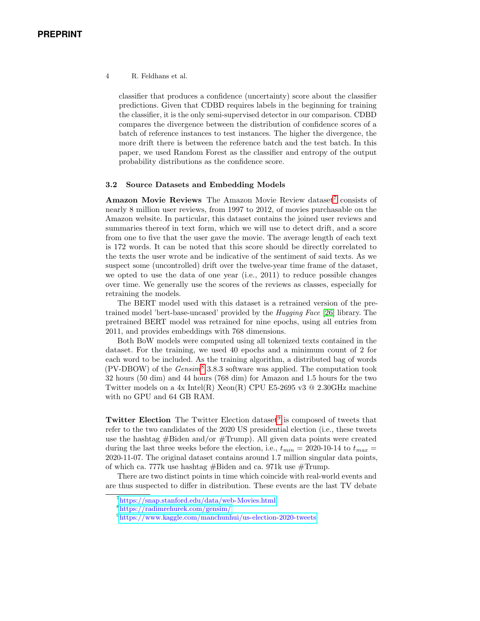classifier that produces a confidence (uncertainty) score about the classifier predictions. Given that CDBD requires labels in the beginning for training the classifier, it is the only semi-supervised detector in our comparison. CDBD compares the divergence between the distribution of confidence scores of a batch of reference instances to test instances. The higher the divergence, the more drift there is between the reference batch and the test batch. In this paper, we used Random Forest as the classifier and entropy of the output probability distributions as the confidence score.

#### <span id="page-3-0"></span>3.2 Source Datasets and Embedding Models

Amazon Movie Reviews The Amazon Movie Review dataset<sup>[7](#page-0-0)</sup> consists of nearly 8 million user reviews, from 1997 to 2012, of movies purchasable on the Amazon website. In particular, this dataset contains the joined user reviews and summaries thereof in text form, which we will use to detect drift, and a score from one to five that the user gave the movie. The average length of each text is 172 words. It can be noted that this score should be directly correlated to the texts the user wrote and be indicative of the sentiment of said texts. As we suspect some (uncontrolled) drift over the twelve-year time frame of the dataset, we opted to use the data of one year (i.e., 2011) to reduce possible changes over time. We generally use the scores of the reviews as classes, especially for retraining the models.

The BERT model used with this dataset is a retrained version of the pretrained model 'bert-base-uncased' provided by the Hugging Face [\[26\]](#page-11-12) library. The pretrained BERT model was retrained for nine epochs, using all entries from 2011, and provides embeddings with 768 dimensions.

Both BoW models were computed using all tokenized texts contained in the dataset. For the training, we used 40 epochs and a minimum count of 2 for each word to be included. As the training algorithm, a distributed bag of words (PV-DBOW) of the  $Gensim^8$  $Gensim^8$  3.8.3 software was applied. The computation took 32 hours (50 dim) and 44 hours (768 dim) for Amazon and 1.5 hours for the two Twitter models on a  $4x$  Intel(R) Xeon(R) CPU E5-2695 v3  $@$  2.30GHz machine with no GPU and 64 GB RAM.

Twitter Election The Twitter Election dataset<sup>[9](#page-0-0)</sup> is composed of tweets that refer to the two candidates of the 2020 US presidential election (i.e., these tweets use the hashtag #Biden and/or #Trump). All given data points were created during the last three weeks before the election, i.e.,  $t_{min} = 2020$ -10-14 to  $t_{max} =$ 2020-11-07. The original dataset contains around 1.7 million singular data points, of which ca. 777k use hashtag  $\#$ Biden and ca. 971k use  $\#$ Trump.

There are two distinct points in time which coincide with real-world events and are thus suspected to differ in distribution. These events are the last TV debate

<sup>4</sup> R. Feldhans et al.

<sup>7</sup><https://snap.stanford.edu/data/web-Movies.html>

<sup>8</sup><https://radimrehurek.com/gensim/>

<sup>9</sup><https://www.kaggle.com/manchunhui/us-election-2020-tweets>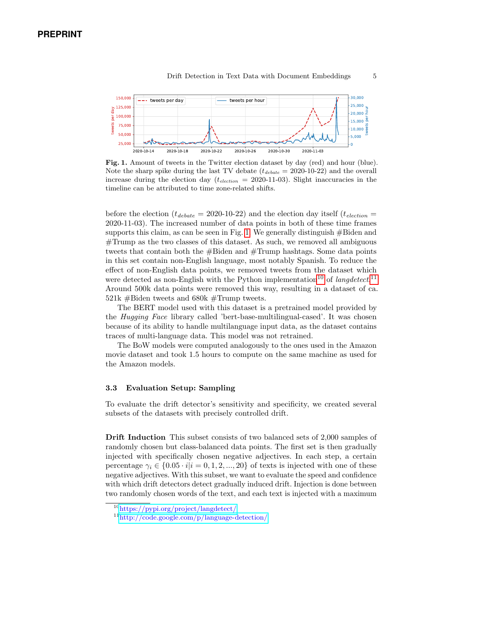#### 2020-10-14 2020-10-18 2020-10-22 2020-10-26 2020-10-30 2020-11-03 25,000 50,000 75,000 100,000  $\frac{2}{9}$  125,000 150,000 tweets per tweets per day 0 5,000 10,000 15,000 20,000 25,000 30,000 tweets per hour tweets per hour

<span id="page-4-1"></span>

Fig. 1. Amount of tweets in the Twitter election dataset by day (red) and hour (blue). Note the sharp spike during the last TV debate  $(t_{debate} = 2020-10-22)$  and the overall increase during the election day ( $t_{election} = 2020-11-03$ ). Slight inaccuracies in the timeline can be attributed to time zone-related shifts.

before the election  $(t_{debate} = 2020-10-22)$  and the election day itself  $(t_{election} =$ 2020-11-03). The increased number of data points in both of these time frames supports this claim, as can be seen in Fig. [1.](#page-4-1) We generally distinguish  $\#B$ iden and #Trump as the two classes of this dataset. As such, we removed all ambiguous tweets that contain both the #Biden and #Trump hashtags. Some data points in this set contain non-English language, most notably Spanish. To reduce the effect of non-English data points, we removed tweets from the dataset which were detected as non-English with the Python implementation<sup>[10](#page-0-0)</sup> of *langdetect*.<sup>[11](#page-0-0)</sup> Around 500k data points were removed this way, resulting in a dataset of ca. 521k #Biden tweets and 680k #Trump tweets.

The BERT model used with this dataset is a pretrained model provided by the Hugging Face library called 'bert-base-multilingual-cased'. It was chosen because of its ability to handle multilanguage input data, as the dataset contains traces of multi-language data. This model was not retrained.

The BoW models were computed analogously to the ones used in the Amazon movie dataset and took 1.5 hours to compute on the same machine as used for the Amazon models.

# <span id="page-4-0"></span>3.3 Evaluation Setup: Sampling

To evaluate the drift detector's sensitivity and specificity, we created several subsets of the datasets with precisely controlled drift.

<span id="page-4-2"></span>Drift Induction This subset consists of two balanced sets of 2,000 samples of randomly chosen but class-balanced data points. The first set is then gradually injected with specifically chosen negative adjectives. In each step, a certain percentage  $\gamma_i \in \{0.05 \cdot i | i = 0, 1, 2, ..., 20\}$  of texts is injected with one of these negative adjectives. With this subset, we want to evaluate the speed and confidence with which drift detectors detect gradually induced drift. Injection is done between two randomly chosen words of the text, and each text is injected with a maximum

<sup>10</sup><https://pypi.org/project/langdetect/>

<sup>11</sup><http://code.google.com/p/language-detection/>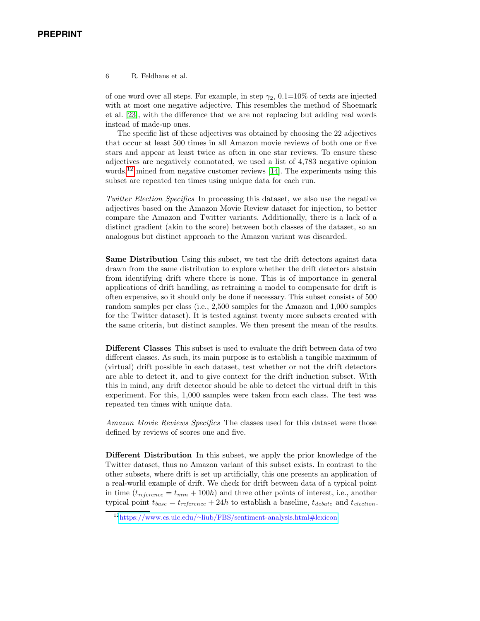#### 6 R. Feldhans et al.

of one word over all steps. For example, in step  $\gamma_2$ , 0.1=10% of texts are injected with at most one negative adjective. This resembles the method of Shoemark et al. [\[23\]](#page-11-13), with the difference that we are not replacing but adding real words instead of made-up ones.

The specific list of these adjectives was obtained by choosing the 22 adjectives that occur at least 500 times in all Amazon movie reviews of both one or five stars and appear at least twice as often in one star reviews. To ensure these adjectives are negatively connotated, we used a list of 4,783 negative opinion words,<sup>[12](#page-0-0)</sup> mined from negative customer reviews [\[14\]](#page-10-13). The experiments using this subset are repeated ten times using unique data for each run.

Twitter Election Specifics In processing this dataset, we also use the negative adjectives based on the Amazon Movie Review dataset for injection, to better compare the Amazon and Twitter variants. Additionally, there is a lack of a distinct gradient (akin to the score) between both classes of the dataset, so an analogous but distinct approach to the Amazon variant was discarded.

<span id="page-5-0"></span>Same Distribution Using this subset, we test the drift detectors against data drawn from the same distribution to explore whether the drift detectors abstain from identifying drift where there is none. This is of importance in general applications of drift handling, as retraining a model to compensate for drift is often expensive, so it should only be done if necessary. This subset consists of 500 random samples per class (i.e., 2,500 samples for the Amazon and 1,000 samples for the Twitter dataset). It is tested against twenty more subsets created with the same criteria, but distinct samples. We then present the mean of the results.

Different Classes This subset is used to evaluate the drift between data of two different classes. As such, its main purpose is to establish a tangible maximum of (virtual) drift possible in each dataset, test whether or not the drift detectors are able to detect it, and to give context for the drift induction subset. With this in mind, any drift detector should be able to detect the virtual drift in this experiment. For this, 1,000 samples were taken from each class. The test was repeated ten times with unique data.

Amazon Movie Reviews Specifics The classes used for this dataset were those defined by reviews of scores one and five.

Different Distribution In this subset, we apply the prior knowledge of the Twitter dataset, thus no Amazon variant of this subset exists. In contrast to the other subsets, where drift is set up artificially, this one presents an application of a real-world example of drift. We check for drift between data of a typical point in time  $(t_{reference} = t_{min} + 100h)$  and three other points of interest, i.e., another typical point  $t_{base} = t_{reference} + 24h$  to establish a baseline,  $t_{debate}$  and  $t_{election}$ .

<sup>12</sup>https://www.cs.uic.edu/∼[liub/FBS/sentiment-analysis.html#lexicon](https://www.cs.uic.edu/~liub/FBS/sentiment-analysis.html#lexicon)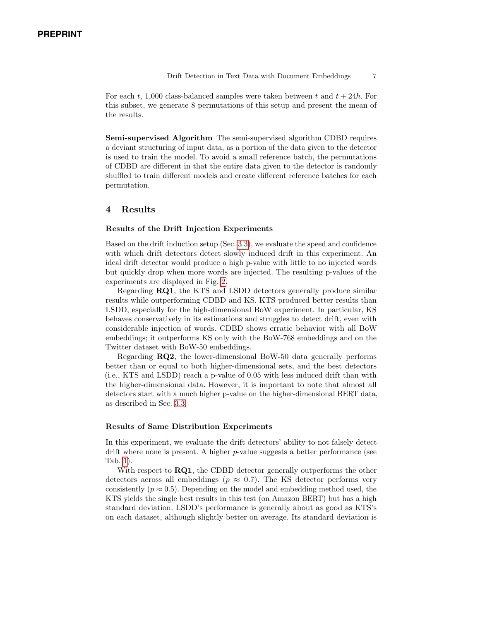For each t, 1,000 class-balanced samples were taken between t and  $t + 24h$ . For this subset, we generate 8 permutations of this setup and present the mean of the results.

Semi-supervised Algorithm The semi-supervised algorithm CDBD requires a deviant structuring of input data, as a portion of the data given to the detector is used to train the model. To avoid a small reference batch, the permutations of CDBD are different in that the entire data given to the detector is randomly shuffled to train different models and create different reference batches for each permutation.

# <span id="page-6-0"></span>4 Results

#### Results of the Drift Injection Experiments

Based on the drift induction setup (Sec. [3.3\)](#page-4-2), we evaluate the speed and confidence with which drift detectors detect slowly induced drift in this experiment. An ideal drift detector would produce a high p-value with little to no injected words but quickly drop when more words are injected. The resulting p-values of the experiments are displayed in Fig. [2.](#page-7-0)

Regarding RQ1, the KTS and LSDD detectors generally produce similar results while outperforming CDBD and KS. KTS produced better results than LSDD, especially for the high-dimensional BoW experiment. In particular, KS behaves conservatively in its estimations and struggles to detect drift, even with considerable injection of words. CDBD shows erratic behavior with all BoW embeddings; it outperforms KS only with the BoW-768 embeddings and on the Twitter dataset with BoW-50 embeddings.

Regarding RQ2, the lower-dimensional BoW-50 data generally performs better than or equal to both higher-dimensional sets, and the best detectors (i.e., KTS and LSDD) reach a p-value of 0.05 with less induced drift than with the higher-dimensional data. However, it is important to note that almost all detectors start with a much higher p-value on the higher-dimensional BERT data, as described in Sec. [3.3.](#page-5-0)

#### Results of Same Distribution Experiments

In this experiment, we evaluate the drift detectors' ability to not falsely detect drift where none is present. A higher  $p$ -value suggests a better performance (see Tab. [1\)](#page-8-0).

With respect to **RQ1**, the CDBD detector generally outperforms the other detectors across all embeddings ( $p \approx 0.7$ ). The KS detector performs very consistently ( $p \approx 0.5$ ). Depending on the model and embedding method used, the KTS yields the single best results in this test (on Amazon BERT) but has a high standard deviation. LSDD's performance is generally about as good as KTS's on each dataset, although slightly better on average. Its standard deviation is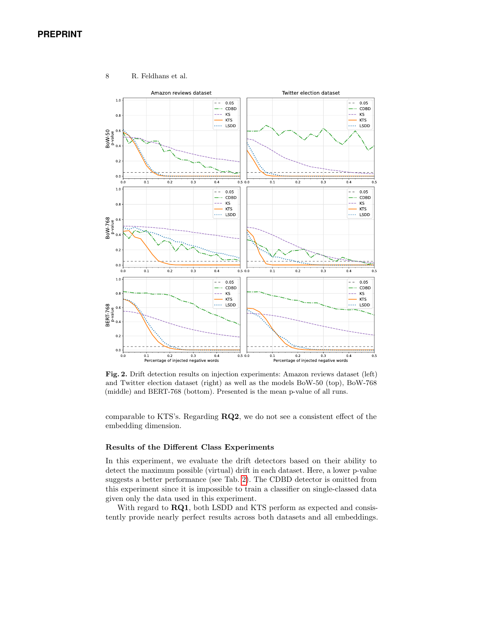

8 R. Feldhans et al.

<span id="page-7-0"></span>Fig. 2. Drift detection results on injection experiments: Amazon reviews dataset (left) and Twitter election dataset (right) as well as the models BoW-50 (top), BoW-768 (middle) and BERT-768 (bottom). Presented is the mean p-value of all runs.

comparable to KTS's. Regarding RQ2, we do not see a consistent effect of the embedding dimension.

### Results of the Different Class Experiments

In this experiment, we evaluate the drift detectors based on their ability to detect the maximum possible (virtual) drift in each dataset. Here, a lower p-value suggests a better performance (see Tab. [2\)](#page-8-1). The CDBD detector is omitted from this experiment since it is impossible to train a classifier on single-classed data given only the data used in this experiment.

With regard to  $RQ1$ , both LSDD and KTS perform as expected and consistently provide nearly perfect results across both datasets and all embeddings.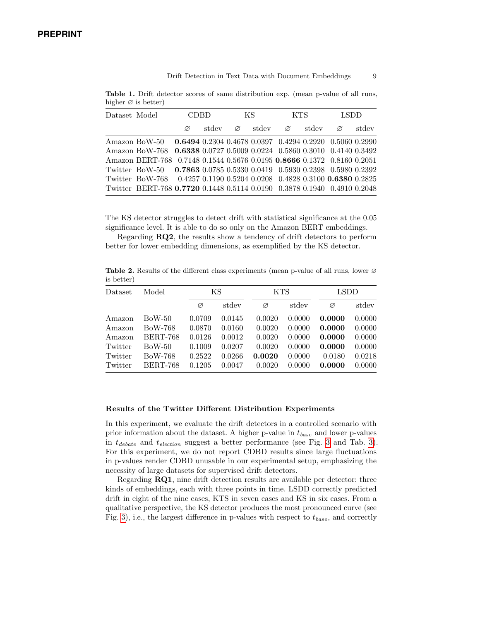#### Drift Detection in Text Data with Document Embeddings 9

<span id="page-8-0"></span>Table 1. Drift detector scores of same distribution exp. (mean p-value of all runs, higher  $\varnothing$  is better)

| Dataset Model |                                                                               | <b>CDBD</b> |       | ΚS |       | <b>KTS</b>                                              |       | <b>LSDD</b> |       |
|---------------|-------------------------------------------------------------------------------|-------------|-------|----|-------|---------------------------------------------------------|-------|-------------|-------|
|               |                                                                               | Ø           | stdev | Ø  | stdev | Ø                                                       | stdev | Ø           | stdev |
|               | Amazon BoW-50                                                                 |             |       |    |       | 0.6494 0.2304 0.4678 0.0397 0.4294 0.2920 0.5060 0.2990 |       |             |       |
|               | Amazon BoW-768 0.6338 0.0727 0.5009 0.0224 0.5860 0.3010 0.4140 0.3492        |             |       |    |       |                                                         |       |             |       |
|               | Amazon BERT-768 0.7148 0.1544 0.5676 0.0195 0.8666 0.1372 0.8160 0.2051       |             |       |    |       |                                                         |       |             |       |
|               | Twitter BoW-50 <b>0.7863</b> 0.0785 0.5330 0.0419 0.5930 0.2398 0.5980 0.2392 |             |       |    |       |                                                         |       |             |       |
|               | Twitter BoW-768 0.4257 0.1190 0.5204 0.0208 0.4828 0.3100 0.6380 0.2825       |             |       |    |       |                                                         |       |             |       |
|               | Twitter BERT-768 0.7720 0.1448 0.5114 0.0190 0.3878 0.1940 0.4910 0.2048      |             |       |    |       |                                                         |       |             |       |

The KS detector struggles to detect drift with statistical significance at the 0.05 significance level. It is able to do so only on the Amazon BERT embeddings.

Regarding RQ2, the results show a tendency of drift detectors to perform better for lower embedding dimensions, as exemplified by the KS detector.

<span id="page-8-1"></span>Table 2. Results of the different class experiments (mean p-value of all runs, lower ∅ is better)

| Dataset | Model           | ΚS     |        | KTS    |        | <b>LSDD</b> |        |
|---------|-----------------|--------|--------|--------|--------|-------------|--------|
|         |                 | Ø      | stdev  | Ø      | stdev  | Ø           | stdev  |
| Amazon  | $BoW-50$        | 0.0709 | 0.0145 | 0.0020 | 0.0000 | 0.0000      | 0.0000 |
| Amazon  | BoW-768         | 0.0870 | 0.0160 | 0.0020 | 0.0000 | 0.0000      | 0.0000 |
| Amazon  | <b>BERT-768</b> | 0.0126 | 0.0012 | 0.0020 | 0.0000 | 0.0000      | 0.0000 |
| Twitter | $BoW-50$        | 0.1009 | 0.0207 | 0.0020 | 0.0000 | 0.0000      | 0.0000 |
| Twitter | BoW-768         | 0.2522 | 0.0266 | 0.0020 | 0.0000 | 0.0180      | 0.0218 |
| Twitter | <b>BERT-768</b> | 0.1205 | 0.0047 | 0.0020 | 0.0000 | 0.0000      | 0.0000 |

#### Results of the Twitter Different Distribution Experiments

In this experiment, we evaluate the drift detectors in a controlled scenario with prior information about the dataset. A higher p-value in  $t_{base}$  and lower p-values in  $t_{debate}$  and  $t_{election}$  suggest a better performance (see Fig. [3](#page-9-1) and Tab. [3\)](#page-9-2). For this experiment, we do not report CDBD results since large fluctuations in p-values render CDBD unusable in our experimental setup, emphasizing the necessity of large datasets for supervised drift detectors.

Regarding RQ1, nine drift detection results are available per detector: three kinds of embeddings, each with three points in time. LSDD correctly predicted drift in eight of the nine cases, KTS in seven cases and KS in six cases. From a qualitative perspective, the KS detector produces the most pronounced curve (see Fig. [3\)](#page-9-1), i.e., the largest difference in p-values with respect to  $t_{base}$ , and correctly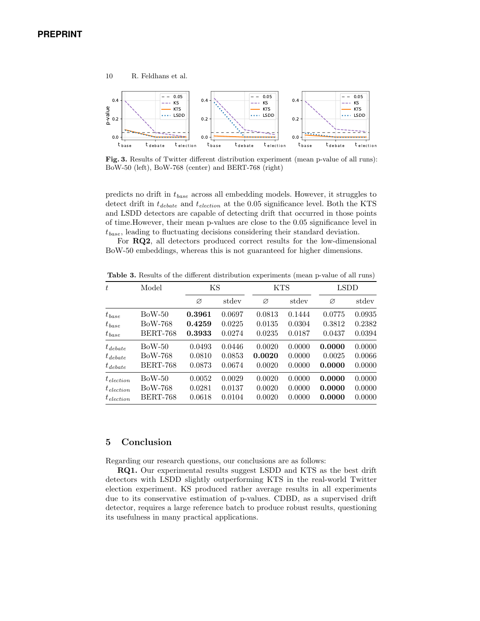

<span id="page-9-1"></span>Fig. 3. Results of Twitter different distribution experiment (mean p-value of all runs): BoW-50 (left), BoW-768 (center) and BERT-768 (right)

predicts no drift in  $t_{base}$  across all embedding models. However, it struggles to detect drift in  $t_{debate}$  and  $t_{electron}$  at the 0.05 significance level. Both the KTS and LSDD detectors are capable of detecting drift that occurred in those points of time.However, their mean p-values are close to the 0.05 significance level in  $t_{base}$ , leading to fluctuating decisions considering their standard deviation.

For RQ2, all detectors produced correct results for the low-dimensional BoW-50 embeddings, whereas this is not guaranteed for higher dimensions.

| t              | Model           | ΚS     |        | KTS    |        | LSDD   |        |
|----------------|-----------------|--------|--------|--------|--------|--------|--------|
|                |                 | Ø      | stdev  | Ø      | stdev  | Ø      | stdev  |
| $t_{base}$     | $BoW-50$        | 0.3961 | 0.0697 | 0.0813 | 0.1444 | 0.0775 | 0.0935 |
| $t_{base}$     | BoW-768         | 0.4259 | 0.0225 | 0.0135 | 0.0304 | 0.3812 | 0.2382 |
| $t_{base}$     | <b>BERT-768</b> | 0.3933 | 0.0274 | 0.0235 | 0.0187 | 0.0437 | 0.0394 |
| $t_{debate}$   | $BoW-50$        | 0.0493 | 0.0446 | 0.0020 | 0.0000 | 0.0000 | 0.0000 |
| $t_{debate}$   | BoW-768         | 0.0810 | 0.0853 | 0.0020 | 0.0000 | 0.0025 | 0.0066 |
| $t_{debate}$   | <b>BERT-768</b> | 0.0873 | 0.0674 | 0.0020 | 0.0000 | 0.0000 | 0.0000 |
| $t_{electron}$ | $BoW-50$        | 0.0052 | 0.0029 | 0.0020 | 0.0000 | 0.0000 | 0.0000 |
| $t_{electron}$ | BoW-768         | 0.0281 | 0.0137 | 0.0020 | 0.0000 | 0.0000 | 0.0000 |
| $t_{electron}$ | <b>BERT-768</b> | 0.0618 | 0.0104 | 0.0020 | 0.0000 | 0.0000 | 0.0000 |

<span id="page-9-2"></span>Table 3. Results of the different distribution experiments (mean p-value of all runs)

# <span id="page-9-0"></span>5 Conclusion

Regarding our research questions, our conclusions are as follows:

RQ1. Our experimental results suggest LSDD and KTS as the best drift detectors with LSDD slightly outperforming KTS in the real-world Twitter election experiment. KS produced rather average results in all experiments due to its conservative estimation of p-values. CDBD, as a supervised drift detector, requires a large reference batch to produce robust results, questioning its usefulness in many practical applications.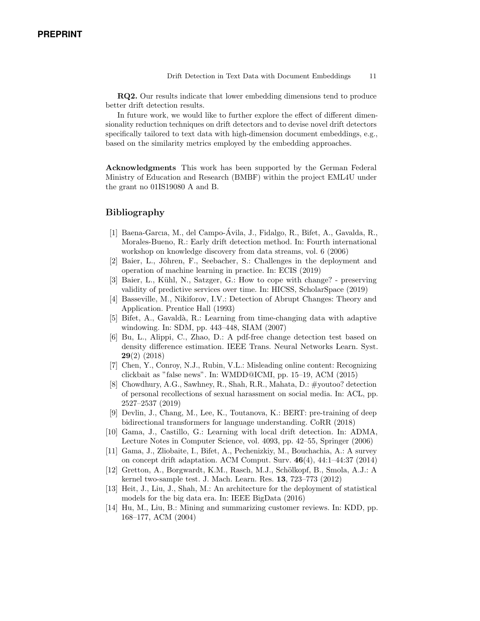RQ2. Our results indicate that lower embedding dimensions tend to produce better drift detection results.

In future work, we would like to further explore the effect of different dimensionality reduction techniques on drift detectors and to devise novel drift detectors specifically tailored to text data with high-dimension document embeddings, e.g., based on the similarity metrics employed by the embedding approaches.

Acknowledgments This work has been supported by the German Federal Ministry of Education and Research (BMBF) within the project EML4U under the grant no 01IS19080 A and B.

# Bibliography

- <span id="page-10-10"></span>[1] Baena-Garcıa, M., del Campo-Avila, J., Fidalgo, R., Bifet, A., Gavalda, R., ´ Morales-Bueno, R.: Early drift detection method. In: Fourth international workshop on knowledge discovery from data streams, vol. 6 (2006)
- <span id="page-10-0"></span>[2] Baier, L., Jöhren, F., Seebacher, S.: Challenges in the deployment and operation of machine learning in practice. In: ECIS (2019)
- <span id="page-10-7"></span>[3] Baier, L., Kühl, N., Satzger, G.: How to cope with change? - preserving validity of predictive services over time. In: HICSS, ScholarSpace (2019)
- <span id="page-10-6"></span>[4] Basseville, M., Nikiforov, I.V.: Detection of Abrupt Changes: Theory and Application. Prentice Hall (1993)
- <span id="page-10-9"></span>[5] Bifet, A., Gavaldà, R.: Learning from time-changing data with adaptive windowing. In: SDM, pp. 443–448, SIAM (2007)
- <span id="page-10-12"></span>[6] Bu, L., Alippi, C., Zhao, D.: A pdf-free change detection test based on density difference estimation. IEEE Trans. Neural Networks Learn. Syst. 29(2) (2018)
- <span id="page-10-2"></span>[7] Chen, Y., Conroy, N.J., Rubin, V.L.: Misleading online content: Recognizing clickbait as "false news". In: WMDD@ICMI, pp. 15–19, ACM (2015)
- <span id="page-10-1"></span>[8] Chowdhury, A.G., Sawhney, R., Shah, R.R., Mahata, D.: #youtoo? detection of personal recollections of sexual harassment on social media. In: ACL, pp. 2527–2537 (2019)
- <span id="page-10-11"></span>[9] Devlin, J., Chang, M., Lee, K., Toutanova, K.: BERT: pre-training of deep bidirectional transformers for language understanding. CoRR (2018)
- <span id="page-10-5"></span>[10] Gama, J., Castillo, G.: Learning with local drift detection. In: ADMA, Lecture Notes in Computer Science, vol. 4093, pp. 42–55, Springer (2006)
- <span id="page-10-4"></span>[11] Gama, J., Zliobaite, I., Bifet, A., Pechenizkiy, M., Bouchachia, A.: A survey on concept drift adaptation. ACM Comput. Surv. 46(4), 44:1–44:37 (2014)
- <span id="page-10-3"></span>[12] Gretton, A., Borgwardt, K.M., Rasch, M.J., Sch¨olkopf, B., Smola, A.J.: A kernel two-sample test. J. Mach. Learn. Res. 13, 723–773 (2012)
- <span id="page-10-8"></span>[13] Heit, J., Liu, J., Shah, M.: An architecture for the deployment of statistical models for the big data era. In: IEEE BigData (2016)
- <span id="page-10-13"></span>[14] Hu, M., Liu, B.: Mining and summarizing customer reviews. In: KDD, pp. 168–177, ACM (2004)